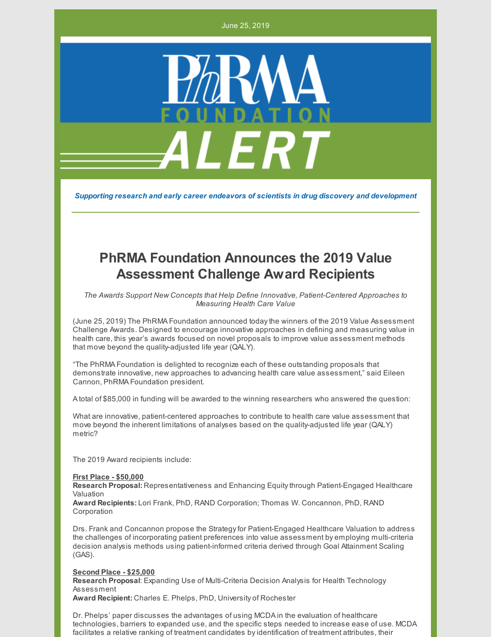June 25, 2019



*Supporting research and early career endeavors of scientists in drug discovery and development*

# **PhRMA Foundation Announces the 2019 Value Assessment Challenge Award Recipients**

*The Awards Support New Concepts that Help Define Innovative, Patient-Centered Approaches to Measuring Health Care Value*

(June 25, 2019) The PhRMA Foundation announced todaythe winners of the 2019 Value Assessment Challenge Awards. Designed to encourage innovative approaches in defining and measuring value in health care, this year's awards focused on novel proposals to improve value assessment methods that move beyond the quality-adjusted life year (QALY).

"The PhRMA Foundation is delighted to recognize each of these outstanding proposals that demonstrate innovative, new approaches to advancing health care value assessment," said Eileen Cannon, PhRMA Foundation president.

A total of \$85,000 in funding will be awarded to the winning researchers who answered the question:

What are innovative, patient-centered approaches to contribute to health care value assessment that move beyond the inherent limitations of analyses based on the quality-adjusted life year (QALY) metric?

The 2019 Award recipients include:

#### **First Place - \$50,000**

**Research Proposal:** Representativeness and Enhancing Equitythrough Patient-Engaged Healthcare Valuation

**Award Recipients:** Lori Frank, PhD, RAND Corporation; Thomas W. Concannon, PhD, RAND Corporation

Drs. Frank and Concannon propose the Strategyfor Patient-Engaged Healthcare Valuation to address the challenges of incorporating patient preferences into value assessment by employing multi-criteria decision analysis methods using patient-informed criteria derived through Goal Attainment Scaling (GAS).

## **Second Place - \$25,000**

**Research Proposal**: Expanding Use of Multi-Criteria Decision Analysis for Health Technology Assessment

**Award Recipient:** Charles E. Phelps, PhD, University of Rochester

Dr. Phelps' paper discusses the advantages of using MCDA in the evaluation of healthcare technologies, barriers to expanded use, and the specific steps needed to increase ease of use. MCDA facilitates a relative ranking of treatment candidates byidentification of treatment attributes, their